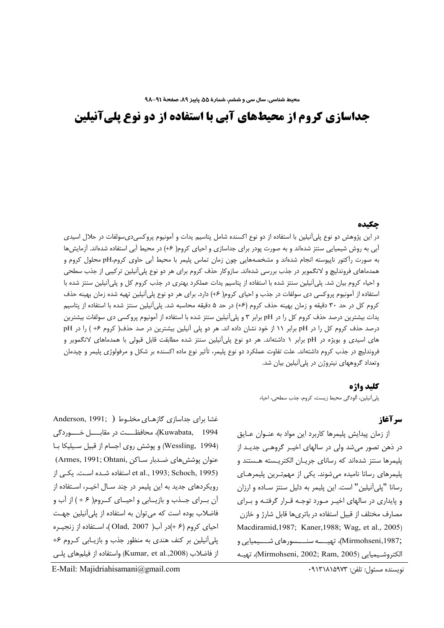# **جداسازی کروم از محیطهای آبی با استفاده از دو نوع پلیآنیلین**

#### جكيده

در این پژوهش دو نوع پلیآنیلین با استفاده از دو نوع اکسنده شامل پتاسیم یدات و آمونیوم پروکسیدیسولفات در حلال اسیدی أبی به روش شیمیایی سنتز شدهاند و به صورت پودر برای جداسازی و احیای کروم( ۶+) در محیط آبی استفاده شدهاند. آزمایشها به صورت رآکتور ناپیوسته انجام شدهاند و مشخصههایی چون زمان تماس پلیمر با محیط آبی حاوی کروم،pH محلول کروم و همدماهای فروندلیچ و لانگمویر در جذب بررسی شدهاند. سازوکار حذف کروم برای هر دو نوع پلیآنیلین ترکیبی از جذب سطحی و احیاء کروم بیان شد. پلیآنیلین سنتز شده با استفاده از پتاسیم یدات عملکرد بهتری در جذب کروم کل و پلیآنیلین سنتز شده با استفاده از آمونیوم پروکسی دی سولفات در جذب و احیای کروم( ۶+) دارد. برای هر دو نوع پلیآنیلین تهیه شده زمان بهینه حذف کروم کل در حد ۳۰ دقیقه و زمان بهینه حذف کروم (۶+) در حد ۵ دقیقه محاسبه شد. پلیآنیلین سنتز شده با استفاده از پتاسیم یدات بیشترین درصد حذف کروم کل را در pH برابر ۳ و پلیآنیلین سنتز شده با استفاده از آمونیوم پروکسی دی سولفات بیشترین درصد حذف کروم کل را در pH برابر ۱۱ از خود نشان داده اند. هر دو پلی آنیلین بیشترین در صد حذف( کروم ۶+ ) را در p های اسیدی و بویژه در pH برابر ۱ داشتهاند. هر دو نوع پلیآنیلین سنتز شده مطابقت قابل قبولی با همدماهای لانگمویر و فروندلیچ در جذب کروم داشتهاند. علت تفاوت عملکرد دو نوع پلیمر، تأثیر نوع ماده اکسنده بر شکل و مرفولوژی پلیمر و چیدمان وتعداد گروههای نیتروژن در پلیآنیلین بیان شد.

#### **كليد واژه**

لىأنيلين، ألودگي محيط زيست، كروم، جذب سطحي، احياء J

#### **سرآغاز**

از زمان پیدایش پلیمرها کاربرد این مواد به عنـوان عــایق در ذهن تصور میشد ولی در سالهای اخیـر گروهـی جدیـد از پلیمرها سنتز شدهاند که رسانای جریـان الکتریـسته هـستند و ڍ لیمرهای رسانا نامیده میشوند. یکی از مهمتـرین پلیمرهــای ڍ رسانا "پلیآنیلین" است. این پلیمر به دلیل سنتز سـاده و ارزان و پایداری در سالهای اخیر مورد توجه قـرار گرفتـه و بـرای مصارف مختلف از قبیل استفاده در باتریها قابل شارژ و خازن Macdiramid,1987; Kaner,1988; Wag, et al., 2005) ;Mirmohseni,1987)، تهيــــه سنــــسورهاي شــــيميايي و الكتروشـيميايي (Mirmohseni, 2002; Ram, 2005)، تهيــه

غشا برای جداسازی گازهـای مخلـوط ( Anderson, 1991; ) Kuwabata, 1994)، محافظـــت در مقابــــل خــــوردگی (Wessling, 1994) و پوشش روی اجسام از قبیل سـیلیکا بـا عنوان پوشش@ای ضـدبار سـاکن ,Armes, 1991; Ohtani) t al., 1993; Schoch, 1995) استفاده شـده اسـت. یکـی از رویکردهای جدید به این پلیمر در چند سـال اخیــر، اسـتفاده از آن بــراى جــذب و بازيــابى و احيــاى كــروم( ۶ + ) از آب و فاضلاب بوده است که میتوان به استفاده از پلیآنیلین جهـت  $\ket{\text{izp}}$  احیای کروم (۶ +)در آب( 2007 ,Olad )، استفاده از زنجیره لمیآنیلین بر کنف هندی به منظور جذب و بازیـابی کـروم ۶+ ڍ از فاضلاب (Kumar, et al.,2008) واستفاده از فیلمهای پلـی

E-Mail: Majidriahisamani@gmail.com

نويسنده مسئول: تلفن: ٩١٣١٨١٥٩٧٣.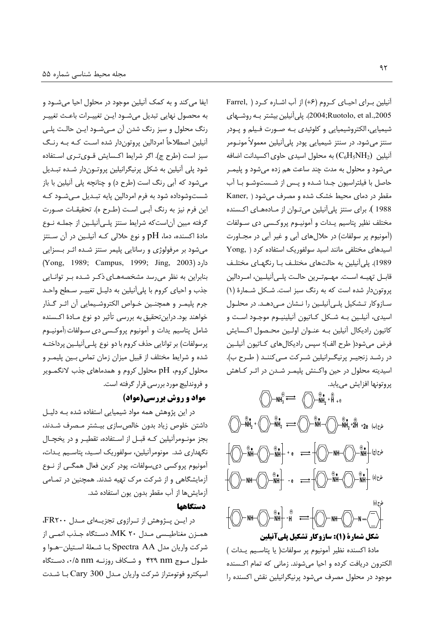ایفا می کند و به کمک آنیلین موجود در محلول احیا میشــود و به محصول نهايي تبديل ميشـود ايـن تغييـرات باعـث تغييـر رنگ محلول و سبز رنگ شدن آن مـیشـود ایـن حالـت پلـی أنیلین اصطلاحاً امردالین پروتوندار شده است کـه بــه رنـگ سبز است (طرح ج). اگر شرایط اکـسایش قــویتــری اســتفاده شود پلی آنیلین به شکل پرنیگرانیلین پروتـوندار شـده تبـدیل میشود که آبی رنگ است (طرح د) و چنانچه پلی آنیلین با باز شستوشوداده شود به فرم امردالین پایه تبـدیل مـیشـود کـه اين فرم نيز به رنگ آبـي اسـت (طـرح ه). تحقيقـات صـورت گرفته مبین آناستکه شرایط سنتز پلـیآنیلـین از جملـه نــوع مادهٔ اکسنده، دما، pH و نوع حلالی کـه آنیلـین در آن سـنتز میشود بر مرفولوژی و رسانایی پلیمر سنتز شـده اثـر بـسزایی (Yong, 1989; Campus, 1999; Jing, 2003) بنابراین به نظر می رسد مشخصههای ذکر شده بر توانایی جذب و احیای کروم با پلیآنیلین به دلیـل تغییـر سـطح واحـد جرم پليمـر و همچنـين خـواص الكتروشـيمايى آن اثـر گـذار خواهند بود. دراین تحقیق به بررسی تأثیر دو نوع مـادهٔ اکـسنده شامل پتاسيم يدات و آمونيوم پروكسي دي سـولفات (آمونيـوم پرسولفات) بر توانایی حذف کروم با دو نوع پلــیآنیلــین پرداختــه شده و شرایط مختلف از قبیل میزان زمان تماس بـین پلیمـر و محلول کروم، pH محلول کروم و همدماهای جذب لانگمـویر و فروندليچ مورد بررسي قرار گرفته است.

### **مواد و روش بررسی(مواد)**

در این پژوهش همه مواد شیمیایی استفاده شده بــه دلیــل داشتن خلوص زیاد بدون خالصسازی بیـشتر مـصرف شـدند، بجز مونـومرآنیلین کـه قبـل از اسـتفاده، تقطیـر و در یخچـال نگهداری شد. مونومرآنیلین، سولفوریک اسـید، پتاسـیم یـدات، آمونيوم يروكسي دي سولفات، يودر كربن فعال همگـي از نــوع آزمایشگاهی و از شرکت مرک تهیه شدند. همچنین در تمـامی آزمایشها از آب مقطر بدون یون استفاده شد.

# **دستگاهها**

در ایـن پـژوهش از تـرازوی تجزیـهای مـدل FR۲۰۰، همـزن مغناطيـسى مـدل ٢٠ MK، دسـتگاه جـذب اتمـي از شركت واريان مدل Spectra AA بـا شـعلهٔ اسـتيلن–هـوا و طـول مــوج nm ۴۲۹ و شــكاف روزنــه nm ۰/۵ دســتگاه اسيكترو فوتومتراز شركت واريان مـدل Cary 300 بـا شـدت

آنیلین بـرای احیـای کـروم (۶+) از آب اشـاره کـرد ( Farrel, 2005). پليأنيلين بيشتر بـه روشــهاى شیمیایی، الکتروشیمیایی و کلوئیدی بـه صـورت فـیلم و پـودر سنتز میشود. در سنتز شیمیایی پودر پلیآنیلین معمولاً مونــومر آنیلین  $\rm (C_6H_5NH_2)$  به محلول اسیدی حاوی اکسیدانت اضافه میشود و محلول به مدت چند ساعت هم زده میشود و پلیمـر حاصل با فیلتراسیون جـدا شـده و پـس از شــستوشــو بــا آب Kaner, ) مقطر در دمای محیط خشک شده و مصرف می شود 1988 ). برای سنتز پلیآنیلین میتوان از مـادههـای اکـسنده مختلف نظیر پتاسیم یـدات و آمونیــوم پروکـسی دی ســولفات (آمونیوم پر سولفات) در حلالهای آبی و غیر آبی در مجـاورت اسیدهای مختلفی مانند اسید سولفوریک استفاده کرد ( ,Yong 1989). پلیآنیلین به حالتهای مختلـف بــا رنگهــای مختلـف قابــل تهيـــه اســت. مهـــمتــرين حالــت پلـــىآنيلــين، امــردالين پروتوندار شده است که به رنگ سبز است. شکل شـمارهٔ (۱) سـازوكار تــشكيل پلــىأنيلــين را نــشان مــىدهــد. در محلــول اسیدی، آنیلـین بــه شــکل کــاتیون آنیلینیــوم موجــود اســت و كاتيون راديكال أنيلين بـه عنــوان اولــين محـصول اكــسايش فرض میشود( طرح الف)؛ سپس رادیکالهای کـاتیون آنیلـین در رشـد زنجيـر پرنيگـرانيلين شـركت مـىكننـد ( طـرح ب). اسیدیته محلول در حین واکـنش پلیمـر شـدن در اثـر کــاهش پروتونها افزايش مىيابد.

 $\mathsf{NH}_3^{\oplus} \rightleftharpoons \bigcirc$   $\bigcirc$   $\mathsf{NH}_2^{\oplus}$  +  $\mathsf{H}^\oplus$  + e + **NH2** <sup>+</sup> <sup>+</sup> **NH2** + **NH** <sup>+</sup> **NH2** <sup>+</sup>**2H** + +**2e () - NH**  $\langle$  $\rangle$  $\rangle$  $\stackrel{\oplus}{\longrightarrow}$  **<b>NH**  $\langle$   $\rangle$   $\rangle$   $\stackrel{\oplus}{\longrightarrow}$  **NH**  $\langle$   $\rangle$   $\rangle$   $\stackrel{\oplus}{\longrightarrow}$  **NH**  $\langle$   $z \rangle$ + **NH** <sup>+</sup> **NH ( ) - NH** <sup>+</sup> **NH** - **e NH** <sup>+</sup> **NH H NH N** + **( ) -** - **شکل شمارة (1): سازوکار تشکیل پلیآنیلین** 

مادة اكسنده نظير آمونيوم پر سولفات( يا پتاسيم يـدات ) الكترون دريافت كرده و احيا مىشوند. زمانى كه تمام اكـسنده موجود در محلول مصرف میشود پرنیگرانیلین نقش اکسنده را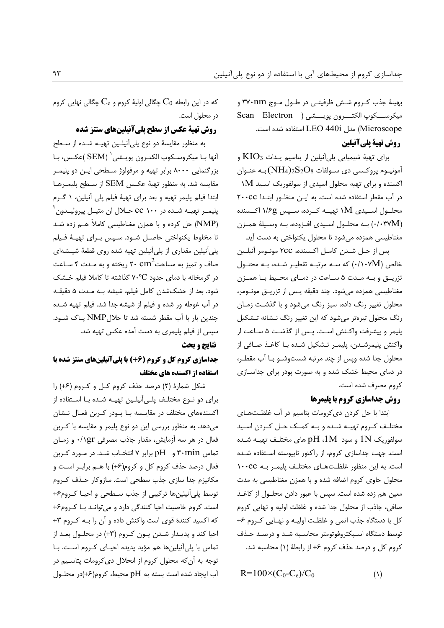بهینهٔ جذب کـروم شـش ظرفیتـی در طـول مـوج ۳۷۰nm و ميكرســـكوپ الكتـــرون پويــــشى ( Scan Electron Microscope) مدل LEO 440i استفاده شده است.

# روش تهية يليآنيلين

برای تهیهٔ شیمیایی پلیآنیلین از پتاسیم پـدات  $\rm{KIO}_{3}$  و آمونيــوم پروكــسى دى ســولفات  $\mathrm{NH_4})_2\mathrm{S_2O_8}$  بــه عنــوان اکسنده و برای تهیه محلول اسیدی از سولفوریک اسـید M۱ در آب مقطر استفاده شده است. به این منظور ابتدا ٢٠٠Cc محلــول اســيدي 1M تهيـــه كــرده، ســپس ١/۶g اكــسنده (٠/٠٣٧M) به محلول اسيدي افـزوده، بـه وسـيلة همـزن مغناطیسی همزده می شود تا محلول یکنواختی به دست آید.

يس از حـل شـدن كامـل اكـسنده، ٢CC مونـومر آنيلـين خالص (۰/۱۰۷M) که سـه مرتبـه تقطيـر شـده، بـه محلـول تزریــــق و بـــه مــدت ۵ ســاعت در دمــای محــیط بــا همــزن مغناطیسی همزده میشود. چند دقیقه پس از تزریــق مونــومر، محلول تغییر رنگ داده، سبز رنگ میشود و با گذشت زمـان رنگ محلول تیرهتر میشود که این تغییر رنگ نـشانه تـشکیل پليمر و پيشرفت واكـنش اسـت. پـس از گذشـت ۵ سـاعت از واكنش پليمرشـدن، پليمـر تـشكيل شـده بـا كاغـذ صـافى از محلول جدا شده وپس از چند مرتبه شستوشـو بـا آب مقطـر، در دمای محیط خشک شده و به صورت پودر برای جداسـازی كروم مصرف شده است.

# روش جداسازي کروم با پليمرها

ابتدا با حل کردن دی کرومات پتاسیم در آب غلظتهای مختلـف كـروم تهيـه شـده و بـه كمـك حـل كـردن اسـيد سولفوریک  $1N$  و سود  $1M$ ،  $H$ های مختلـف تهیـه شـده است. جهت جداسازی کروم، از رآکتور ناپیوسته استفاده شده است. به این منظور غلظتهای مختلـف پلیمـر بـه ١٠٠CC محلول حاوی کروم اضافه شده و با همزن مغناطیسی به مدت معین هم زده شده است. سیس با عبور دادن محلـول از کاغـذ صافي، جاذب از محلول جدا شده و غلظت اوليه و نهايي كروم کل با دستگاه جذب اتمی و غلظـت اولیـه و نهـایی کـروم ۶+ توسط دستگاه اسـيكتروفوتومتر محاسـبه شـد و درصـد حـذف كروم كل و درصد حذف كروم ۶+ از رابطهٔ (۱) محاسبه شد.

 $R=100 \times (C_0-C_e)/C_0$  $(1)$ 

که در این رابطه  $\rm C_{0}$  چگالی اولیهٔ کروم و  $\rm C_{e}$  چگالی نهایی کروم در محلول است.

# روش تهیة عکس از سطح پلیآنیلینهای سنتز شده

به منظور مقایسهٔ دو نوع پلیآنیلین تهیـه شـده از سـطح آنها بـا ميكروسـكوپ الكتـرون پويـشى` (SEM )عكـس، بـا بزرگنمایی ۸۰۰۰ برابر تهیه و مرفولوژ سطحی ایـن دو پلیمـر مقايسه شد. به منظور تهية عكس SEM از سطح پليمـرهـا ابتدا فیلم پلیمر تهیه و بعد برای تهیهٔ فیلم پلی آنیلین، ۱ گرم پلیمـر تهیـه شـده در ۲۰۰ cc حـلال ان متیـل پیرولیـدون<sup>۲</sup> (NMP) حل کرده و با همزن مغناطیسی کاملاً هـم زده شـد تا مخلوط يكنواختى حاصل شـود. سـپس بـراى تهيـهٔ فـيلم پلی آنیلین مقداری از پلی آنیلین تهیه شده روی قطعهٔ شیـشهای صاف و تمیز به مساحت $\mathrm{cm}^2$ ۲۰ ریخته و به مـدت ۴ سـاعت در گرمخانه با دمای حدود ۷۰°C گذاشته تا کاملا فیلم خشک شود. بعد از خشکشدن کامل فیلم، شیشه بـه مـدت ۵ دقیقـه در آب غوطه ور شده و فیلم از شیشه جدا شد. فیلم تهیه شـده چندین بار با آب مقطر شسته شد تا حلالNMP پاک شود. سپس از فیلم پلیمری به دست آمده عکس تهیه شد.

#### نتايج و بحث

# جداسازی کروم کل و کروم (46) با پلیآنیلینهای سنتز شده با استفاده از اکسنده های مختلف

شکل شمارهٔ (۲) درصد حذف کروم کـل و کـروم (۶+) را برای دو نـوع مختلـف پلـی]آنیلـین تهیـه شـده بـا اسـتفاده از اکسندههای مختلف در مقایـسه بــا یــودر کــربن فعــال نــشان می دهد. به منظور بررسی این دو نوع پلیمر و مقایسه با کـربن فعال در هر سه آزمایش، مقدار جاذب مصرفی ۱۶۲/۰ و زمـان تماس ۳۰min و pH برابر ۷ انتخـاب شـد. در مـورد كـربن فعال درصد حذف کروم کل و کروم(۶+) با هـم برابـر اسـت و مکانیزم جدا سازی جذب سطحی است. سازوکار حـذف کـروم توسط یلی آنیلین ها ترکیبی از جذب سطحی و احیا کروم۶+ است. کروم خاصیت احیا کنندگی دارد و می توانـد بـا کـروم۶+ که اکسید کنندهٔ قوی است واکنش داده و آن را بـه کـروم ۳+ احیا کند و پدیـدار شـدن یـون کـروم (۳+) در محلـول بعـد از تماس با پلی آنیلینها هم مؤید پدیده احیـای کـروم اسـت. بـا توجه به آن که محلول کروم از انحلال دی کرومات پتاسـیم در آب ایجاد شده است بسته به pH محیط، کروم(۶+)در محلـول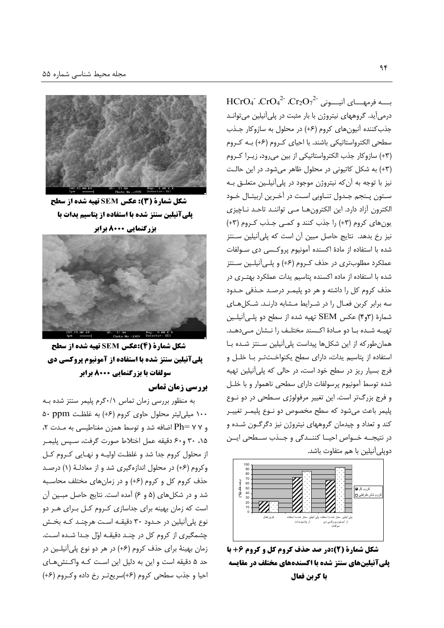HCrO4  $CrO_4^2$   $Cr_2O_7^2$  بِـــه فرمهـــای آنیـــونی  $Cr_2O_7^2$ درمی آید. گروههای نیتروژن با بار مثبت در پلی آنیلین می توانـد جذب كننده آنيون هاى كروم (۶+) در محلول به سازوكار جـذب سطحی الکترواستاتیکی باشند. با احیای کـروم (۶+) بـه کـروم (٣+) سازوكار جذب الكترواستاتيكي از بين مي رود، زيـرا كـروم (٣+) به شكل كاتيونى در محلول ظاهر مى شود. در اين حالت نیز با توجه به آن که نیتروژن موجود در پلیآنیلـین متعلـق بـه ستون پنجم جدول تناوبی است در آخرین اربیتال خـود الكترون آزاد دارد. این الكترونها مـى تواننـد تاحـد نـاچیزى یونهای کروم (۳+) را جذب کنند و کمی جـذب کـروم (۳+) نیز رخ بدهد. نتایج حاصل مبین آن است که پلیآنیلین سـنتز شده با استفاده از مادهٔ اکسنده آمونیوم پروکسی دی سـولفات عملکرد مطلوبتری در حذف کـروم (۶+) و پلـیآنیلـین سـنتز شده با استفاده از ماده اکسنده پتاسیم پدات عملکرد بهتری در حذف کروم کل را داشته و هر دو پلیمـر درصـد حـذفی حـدود سه برابر كربن فعال را در شرايط مشابه دارند. شكلهاى شمارهٔ (۳و۴) عکس SEM تهیه شده از سطح دو پلـیآنیلـین تهيـه شـده بـا دو مـادهٔ اكـسند مختلـف را نـشان مـىدهـد. همان طور که از این شکلها پیداست پلی آنیلین سـنتز شـده بـا استفاده از پتاسیم یدات، دارای سطح یکنواخـتتـر بـا خلـل و فرج بسیار ریز در سطح خود است، در حالی که پلی آنیلین تهیه شده توسط آمونيوم پرسولفات داراى سطحى ناهموار و با خلـل و فرج بزرگتر است. این تغییر مرفولوژی سطحی در دو نـوع پلیمر باعث میشود که سطح مخصوص دو نـوع پلیمـر تغییـر کند و تعداد و چیدمان گروههای نیتروژن نیز دگرگـون شـده و در نتیجــه خــواص احیــا کننــدگی و جــذب ســطحی ایــن دوپلی آنیلین با هم متفاوت باشد.



شکل شمارة (2):در صد حذف کروم کل و کروم 6+ با یلی آنیلینهای سنتز شده با اکسندههای مختلف در مقایسه **با کرین فعال** 



شکل شمارة (3): عکس SEM تهیه شده از سطح پلی آنیلین سنتز شده با استفاده از پتاسیم یدات با



شکل شمارة (4):عکس SEM تهیه شده از سطح **یلیآنیلین سنتز شده با استفاده از آمونیوم پروکسی دی** سولفات با بزرگنمایی ۸۰۰۰ برابر

### **بررسی زمان تماس**

به منظور بررسی زمان تماس ۶۰/۱ گرم پلیمر سنتز شده به ۱۰۰ میلی لیتر محلول حاوی کروم (۶+) به غلظت ۵۰ ppm و ۲۷ Ph= اضافه شد و توسط همزن مغناطیسی به مـدت ۲، ۰۱۵ ۳۰ و۶۰ دقیقه عمل اختلاط صورت گرفت، سـپس پلیمـر از محلول کروم جدا شد و غلظت اولیـه و نهـایی کـروم کـل وكروم (۶+) در محلول اندازهگيري شد و از معادلـهٔ (۱) درصـد حذف کروم کل و کروم (۶+) و در زمان های مختلف محاسبه شد و در شکلهای (۵ و ۶) آمده است. نتایج حاصل مبین آن است که زمان بهینه برای جداسازی کروم کل برای هر دو نوع پلی آنیلین در حـدود ۳۰ دقیقـه اسـت هرچنـد کـه بخـش چشمگیری از کروم کل در چنـد دقیقـه اوّل جـدا شـده اسـت. زمان بهینهٔ برای حذف کروم (۶+) در هر دو نوع پلیآنیلین در حد ۵ دقیقه است و این به دلیل این است کـه واکـنش۱صی احیا و جذب سطحی کروم (۶+)سریع تر رخ داده وکروم (۶+)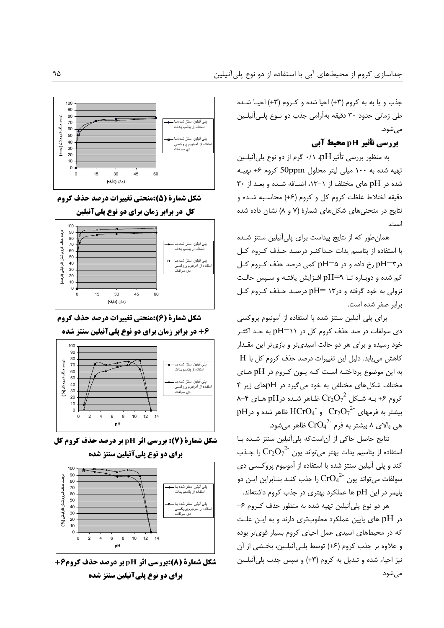جذب و یا به به کروم (٣+) احیا شده و کروم (٣+) احیـا شـده طی زمانی حدود ۳۰ دقیقه بهآرامی جذب دو نــوع پلــیآنیلــین مے ,شود.

# بررسی تأثیر pH محیط آبی

به منظور بررسی تأثیر $\mathrm{H}$ ، ۰/۱ گرم از دو نوع پلیآنیلـین تهیه شده به ۱۰۰ میلی لیتر محلول 50ppm کروم ۶+ تهیـه شده در pH های مختلف از ۱ $-$ ۰۱۳، اضـافه شـده و بعـد از ۳۰ دقیقه اختلاط غلظت کروم کل و کروم (۶+) محاسـبه شـده و نتایج در منحنیهای شکلهای شمارهٔ (۷ و ۸) نشان داده شده است.

همان طور که از نتایج پیداست برای پلی آنیلین سنتز شـده با استفاده از پتاسیم یدات حـداکثــر درصــد حــذف کــروم کــل در $\rm{pH}$ رخ داده و در  $\rm{pH}$  کمی درصد حذف کـروم کـل کم شده و دوبـاره تــا pH=۹ افــزايش يافتــه و ســپس حالــت نزولی به خود گرفته و در۱۳ =pH درصد حـذف کـروم کـل برابر صفر شده است.

برای پلی آنیلین سنتز شده با استفاده از آمونیوم پروکسی دی سولفات در صد حذف کروم کل در pH=۱۱ به حـد اکثــر خود رسیده و برای هر دو حالت اسیدیتر و بازیتر این مقـدار كاهش مى يابد. دليل اين تغييرات درصد حذف كروم كل با H به این موضوع پرداختـه است کـه یـون کـروم در pH هـای مختلف شکلهای مختلفی به خود میگیرد در pHهای زیر ۴ A–۴ کروم ۶+ بـه شـکل  $\mathrm{Cr_{2}O_{7}}^{2}$  ظـاهر شـده در pH هـای ۴–۸ pH نظاهر شده و در HCrO4 و HCrO4 نظاهر شده و در pH  $\mathrm{C}$ هی بالای ۸ بیشتر به فرم  $\mathrm{CrO_4}^{2^\star}$  ظاهر میشود.

نتايج حاصل حاكى از آن است كه پلى آنيلين سنتز شده با استفاده از پتاسیم یدات بهتر میتواند یون  $\text{Cr}_2\text{O}_7^{-2}$  را جـذب کند و پلی آنیلین سنتز شده با استفاده از آمونیوم پروکسی دی سولفات میتواند یون  $\mathrm{CrO_4}^{2-}$  را جذب کنـد بنـابراین ایـن دو پلیمر در این pH ها عملکرد بهتری در جذب کروم داشتهاند.

هر دو نوع پليآنيلين تهيه شده به منظور حذف كـروم ۶+ در pH های پایین عملکرد مطلوبتری دارند و به ایـن علـت که در محیطهای اسیدی عمل احیای کروم بسیار قویتر بوده و علاوه بر جذب كروم (٤+) توسط پلـي آنيلـين، بخـشى از آن نیز احیاء شده و تبدیل به کروم (۳+) و سپس جذب پلی آنیلین مىشود



شکل شمارة (5):منحني تغييرات درصد حذف کروم



شکل شمارة (6):منحني تغييرات درصد حذف کروم



**شکل شمارة (7): بررسی اثر pH بر درصد حذف کروم کل برای دو نوع پلیآنیلین سنتز شده** 



شکل شمارة (8):بررسي اثر pH بر درصد حذف کروم4+ برای دو نوع پلیآنیلین سنتز شده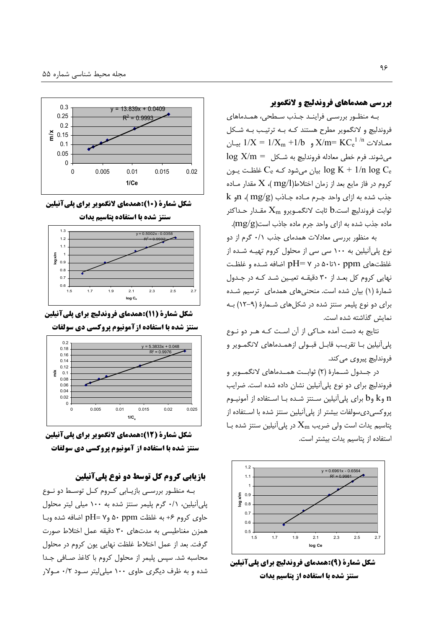#### بررسی همدماهای فروندلیچ و لانگمویر

بـه منظـور بررسـي فراينـد جـذب سـطحي، همـدماهاي .<br>فروندلیچ و لانگمویر مطرح هستند کـه بـه ترتیـب بـه شـکل سادلات  $X/m = K C_e^{-1/n}$  ,  $X/m = K C_e^{-1/n}$  بیان  $\log X/m =$  می شوند. فرم خطی معادله فروندلیچ به شـکل بیان میشود کـه  $\rm C_e$  غلظـت يــون  $\rm \log~K$  + 1/n  $\rm \log~C_e$ کروم در فاز مایع بعد از زمان اختلاط(mg/l )،  $X$  مقدار مـاده  $k$  جذب شده به ازای واحد جـرم مـاده جـاذب (mg/g)،  $n$ و شوابت فروندليچ است. $\rm{b.}$  ثابت لانگمـويرو  $\rm{X_{m}}$  مقـدار حـداكثر ماده جذب شده به ازای واحد جرم ماده جاذب است $\mathrm{mg/g})$ .

به منظور بررسی معادلات همدمای جذب ۰/۱ گرم از دو نوع پلی آنیلین به ۱۰۰ سی سی از محلول کروم تهیـه شـده از غلظتهای pH= ۷، در pH= ۷ اضافه شـده و غلظـت نهایی کروم کل بعـد از ۳۰ دقیقـه تعیـین شـد کـه در جـدول شمارهٔ (۱) بیان شده است. منحنیهای همدمای ترسیم شده برای دو نوع پلیمر سنتز شده در شکلهای شـمارهٔ (۹–۱۲) بـه نمایش گذاشته شده است.

نتايج به دست آمده حـاكي از آن اسـت كـه هـر دو نـوع پلیأنیلین بـا تقریـب قابـل قبــولی ازهمـدماهای لانگمــویر و فروندليچ پيروي مي كند.

در جــدول شــمارهٔ (۲) ثوابــت همــدماهاى لانگمــوير و فروندلیچ برای دو نوع پلیآنیلین نشان داده شده است. ضرایب و k وb برای پلیآنیلین سـنتز شـده بـا اسـتفاده از آمونیــوم  $\ln$ پروکسیدیسولفات بیشتر از پلیآنیلین سنتز شده با استفاده از پتاسیم یدات است ولی ضریب  $\rm X_m$  در پلیآنیلین سنتز شده بـا استفاده از يتاسيم يدات بيشتر است.



شکل شمارة (9):همدمای فروندلیچ برای پلیآنیلین سنتز شده با استفاده از یتاسیم یدات



شکل شمارة (10):همدمای لانگمویر برای پلیآنیلین



شکل شمارة (11):همدمای فروندلیچ برای پلی آنیلین





شکل شمارة (12):همدمای لانگمویر برای پلی آنیلین سنتز شده با استفاده از آمونیوم پروکسی دی سولفات

# بازیابی کروم کل توسط دو نوع پلیآنیلین

بـه منظـور بررسـی بازیـابی کـروم کـل توسـط دو نـوع یلی آنیلین، ۰/۱ گرم پلیمر سنتز شده به ۱۰۰ میلی لیتر محلول حاوى كروم ۶+ به غلظت o۰ ppm وpH= ۷ اضافه شده وبـا همزن مغناطیسی به مدتهای ۳۰ دقیقه عمل اختلاط صورت گرفت. بعد از عمل اختلاط غلظت نهایی یون کروم در محلول محاسبه شد. سپس پلیمر از محلول کروم با کاغذ صـافی جـدا شده و به ظرف دیگری حاوی ۱۰۰ میلی لیتر سـود ۰/۲ مـولار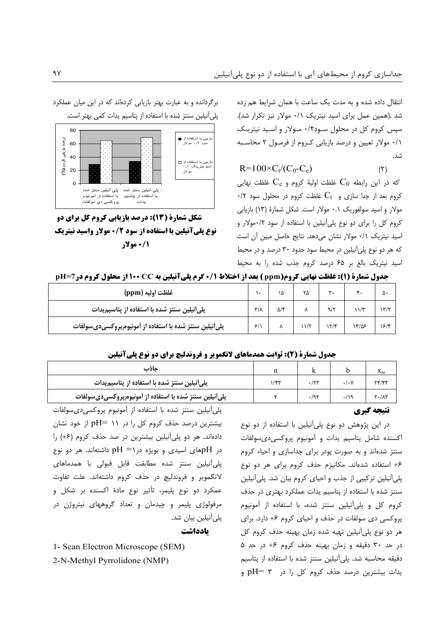انتقال داده شده و به مدت یک ساعت با همان شرایط هم زده شد .(همین عمل برای اسید نیتریک ۰/۱ مولار نیز تکرار شد). سپس کروم کل در محلول سـود۰/۲ مـولار و اسـيد نيتريـک ٠/١ مولار تعيين و درصد بازيابي كروم از فرمـول ٢ محاسـبه شد.

 $R=100\times C_{t}/(C_{0}-C_{e})$  $(\tau)$ 

که در این رابطه  $\rm C_{0}$  غلظت اولیهٔ کروم و  $\rm C_{e}$  غلظت نهایی  $\cdot$ /۲ کروم بعد از جدا سازی و  $C_{\rm t}$  غلظت کروم در محلول سود مولار و اسید سولفوریک ۰.۱ مولار است. شکل شمارهٔ (۱۳) بازیابی کروم کل را برای دو نوع پلیآنیلین با استفاده از سود ۰/۲مولار و اسید نیتریک ۰/۱ مولار نشان میدهد. نتایج حاصل مبین آن است که هر دو نوع پلی آنیلین در محیط سود حدود ۳۰ درصد و در محیط اسید نیتریک بالغ بر ۶۵ درصد کروم جذب شده را به محیط

برگردانده و به عبارت بهتر بازیابی کردهاند که در این میان عملکرد پلیآنیلین سنتز شده با استفاده از پتاسیم یدات کمی بهتر است.



شکل شمارة (13): درصد بازیابی کروم کل برای دو **نوع یلیآنیلین با استفاده از سود ۰/۲ مولار واسید نیتریک** 1/0 مولار

|  |  |  | <b>جدول شمارة (1): غلظت نهایی کروم(ppm ) بعد از اختلاط 70. گرم پلیآنیلین به 25 100 1 از محلول کروم در pH=7</b> |
|--|--|--|----------------------------------------------------------------------------------------------------------------|
|--|--|--|----------------------------------------------------------------------------------------------------------------|

| غلظت اوليه (ppm)                                       |  | ١۵         | ۲۵         |      |       | ۵۰   |
|--------------------------------------------------------|--|------------|------------|------|-------|------|
| پلی آنیلین سنتز شده با استفاده از پتاسیم یدات          |  | $\Delta$ ۴ |            | ۹/۲  |       | ۱۳/۲ |
| پلیأنیلین سنتز شده با استفاده از أمونیومپروکسیدیسولفات |  |            | $\sqrt{7}$ | ۱۲/۴ | ۱۴/۵۶ | ۱۶/۴ |

#### جدول شمارة (2): ثوابت همدماهای لانگمویر و فروندلیچ برای دو نوع پلیآنیلین

| حاذب                                                    |                  |             | Λm                  |
|---------------------------------------------------------|------------------|-------------|---------------------|
| پلیآنیلین سنتز شده با استفاده از پتاسیمیدات             | $1/\mathfrak{r}$ | $\cdot$ /۲۲ |                     |
| پلی آنیلین سنتز شده با استفاده از آمونیومپروکسیدیسولفات |                  | .47         | $Y \cdot / \Lambda$ |

#### نتيجه گيري

در این پژوهش دو نوع پلی آنیلین با استفاده از دو نوع اكسنده شامل يتاسيم يدات و آمونيوم يروكسي دى سولفات سنتز شدهاند و به صورت پودر برای جداسازی و احیاء کروم ۶+ استفاده شدهاند. مكانيزم حذف كروم براى هر دو نوع یلی آنیلین ترکیبی از جذب و احیای کروم بیان شد. پلی آنیلین سنتز شده با استفاده از پتاسیم یدات عملکرد بهتری در حذف کروم کل و پلی آنیلین سنتز شده، با استفاده از آمونیوم پروکسی دی سولفات در حذف و احیای کروم ۶+ دارد. برای هر دو نوع پلی آنیلین تهیه شده زمان بهینه حذف کروم کل در حد ۳۰ دقیقه و زمان بهینه حذف کروم ۶+ در حد ۵ دقیقه محاسبه شد. یلی آنیلین سنتز شده با استفاده از یتاسیم یدات بیشترین درصد حذف کروم کل را در pH= ۳ و

پلی آنیلین سنتز شده با استفاده از آمونیوم پروکسیدی سولفات بیشترین درصد حذف کروم کل را در ۱۱ =pH از خود نشان دادهاند. هر دو پلی آنیلین بیشترین در صد حذف کروم (۶+) را در pHهای اسیدی و بویژه در pH =۱ داشتهاند. هر دو نوع یلی اَنیلین سنتز شده مطابقت قابل قبولی با همدماهای لانگمویر و فروندلیچ در حذف کروم داشتهاند. علت تفاوت عمکرد دو نوع پلیمر، تأثیر نوع مادهٔ اکسنده بر شکل و مرفولوژی پلیمر و چیدمان و تعداد گروههای نیتروژن در پلی آنیلین بیان شد.

بادداشت

1- Scan Electron Microscope (SEM)

2-N-Methyl Pyrrolidone (NMP)